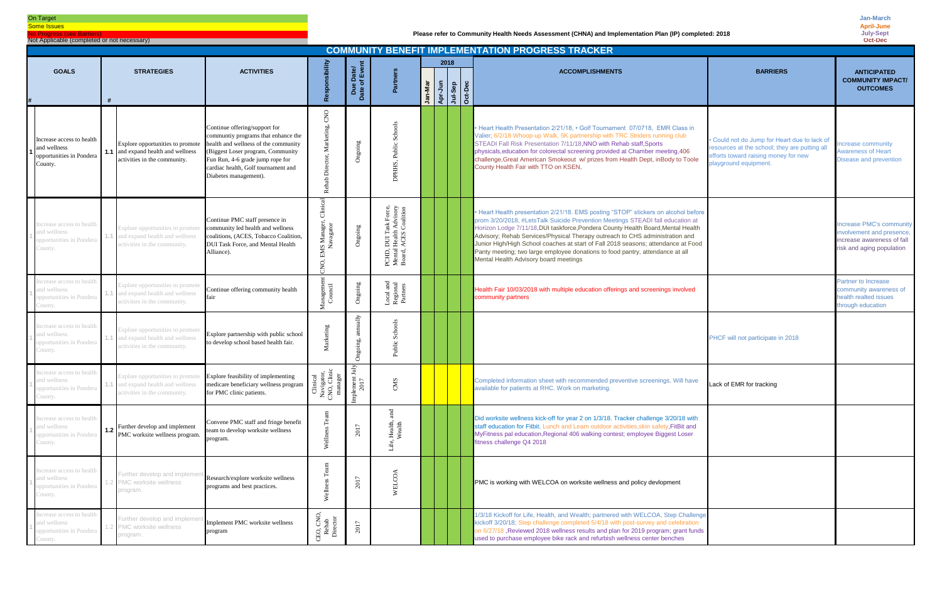| <b>COMMUNITY BENEFIT IMPLEMENTATION PROGRESS TRACKER</b>                         |     |                                                                                                               |                                                                                                                                                                                                                                                       |                                                                               |                           |                                                                                         |         |                               |  |  |                                                                                                                                                                                                                                                                                                                                                                                                                                                                                                                                                         |                                                                                                                                                                |                                                                                                                 |
|----------------------------------------------------------------------------------|-----|---------------------------------------------------------------------------------------------------------------|-------------------------------------------------------------------------------------------------------------------------------------------------------------------------------------------------------------------------------------------------------|-------------------------------------------------------------------------------|---------------------------|-----------------------------------------------------------------------------------------|---------|-------------------------------|--|--|---------------------------------------------------------------------------------------------------------------------------------------------------------------------------------------------------------------------------------------------------------------------------------------------------------------------------------------------------------------------------------------------------------------------------------------------------------------------------------------------------------------------------------------------------------|----------------------------------------------------------------------------------------------------------------------------------------------------------------|-----------------------------------------------------------------------------------------------------------------|
| <b>GOALS</b>                                                                     |     | <b>STRATEGIES</b>                                                                                             | <b>ACTIVITIES</b>                                                                                                                                                                                                                                     |                                                                               | e Date/<br>of Event       |                                                                                         |         | 2018                          |  |  | <b>ACCOMPLISHMENTS</b>                                                                                                                                                                                                                                                                                                                                                                                                                                                                                                                                  | <b>BARRIERS</b>                                                                                                                                                | <b>ANTICIPATED</b>                                                                                              |
|                                                                                  |     |                                                                                                               |                                                                                                                                                                                                                                                       |                                                                               | Date<br>Date              | Partners                                                                                | Jan-Mar | Apr-Jun<br>Apr-Jep<br>Oct-Dec |  |  |                                                                                                                                                                                                                                                                                                                                                                                                                                                                                                                                                         |                                                                                                                                                                | <b>COMMUNITY IMPACT/</b><br><b>OUTCOMES</b>                                                                     |
| Increase access to health<br>and wellness<br>opportunities in Pondera<br>County. |     | Explore opportunities to promote<br><b>1.1</b> and expand health and wellness<br>activities in the community. | Continue offering/support for<br>communtiy programs that enhance the<br>health and wellness of the community<br>(Biggest Loser program, Community<br>Fun Run, 4-6 grade jump rope for<br>cardiac health, Golf tournament and<br>Diabetes management). | CNO<br>keting,<br>ة<br>Rehab                                                  | Ongoing                   | Sch<br>Public<br>S,<br>E                                                                |         |                               |  |  | • Heart Health Presentation 2/21/18, • Golf Tournament 07/0718, EMR Class in<br>Valier; 6/2/18 Whoop-up Walk, 5K partnership with TRC Striders running club<br>STEADI Fall Risk Presentation 7/11/18, NNO with Rehab staff, Sports<br>physicals, education for colorectal screening provided at Chamber meeting, 406<br>challenge, Great American Smokeout w/ prizes from Health Dept, in Body to Toole<br>County Health Fair with TTO on KSEN,                                                                                                         | · Could not do Jump for Heart due to lack of<br>resources at the school; they are putting all<br>efforts toward raising money for new<br>playground equipment. | ncrease community<br><b>Awareness of Heart</b><br>Disease and prevention                                        |
| ncrease access to health<br>and wellness<br>opportunities in Pondera<br>County.  |     | Explore opportunities to promote<br>and expand health and wellness<br>activities in the community.            | Continue PMC staff presence in<br>community led health and wellness<br>coalitions, (ACES, Tobacco Coalition,<br><b>DUI Task Force, and Mental Health</b><br>Alliance).                                                                                | Clinic<br><b>IS Manager,<br/>Navagator</b><br>ğ,                              | Ongoing                   | , DUI Task Force,<br>1 Health Advisory<br>, ACES Coalition<br>PCHD,<br>Mental<br>Board, |         |                               |  |  | • Heart Health presentation 2/21/18. EMS posting "STOP" stickers on alcohol before<br>prom 3/20/2018, #LetsTalk Suicide Prevention Meetings STEADI fall education at<br>Horizon Lodge 7/11/18, DUI taskforce, Pondera County Health Board, Mental Health<br>Advisory; Rehab Services/Physical Therapy outreach to CHS administration and<br>Junior High/High School coaches at start of Fall 2018 seasons; attendance at Food<br>Panty meeting; two large employee donations to food pantry, attendance at all<br>Mental Health Advisory board meetings |                                                                                                                                                                | Increase PMC's community<br>involvement and presence<br>increase awareness of fall<br>risk and aging population |
| ncrease access to health<br>and wellness<br>opportunities in Pondera<br>County.  |     | Explore opportunities to promote<br>and expand health and wellness<br>activities in the community.            | Continue offering community health<br>fair                                                                                                                                                                                                            | Managemen<br>Council                                                          | Ongoing                   | Local and<br>Regional<br>Partners                                                       |         |                               |  |  | Health Fair 10/03/2018 with multiple education offerings and screenings involved<br>community partners                                                                                                                                                                                                                                                                                                                                                                                                                                                  |                                                                                                                                                                | Partner to Increase<br>community awareness of<br>health realted issues<br>hrough education                      |
| ncrease access to health<br>and wellness<br>opportunities in Pondera<br>County.  |     | Explore opportunities to promote<br>and expand health and wellness<br>activities in the community.            | Explore partnership with public school<br>to develop school based health fair.                                                                                                                                                                        | arketing                                                                      | $\frac{1}{2}$<br>Ongoing, | ಹಿ<br>Public                                                                            |         |                               |  |  |                                                                                                                                                                                                                                                                                                                                                                                                                                                                                                                                                         | PHCF will not participate in 2018                                                                                                                              |                                                                                                                 |
| ncrease access to health<br>and wellness<br>opportunities in Pondera<br>County.  |     | Explore opportunities to promote<br>and expand health and wellness<br>ctivities in the community.             | Explore feasibility of implementing<br>medicare beneficiary wellness program<br>for PMC clinic patients.                                                                                                                                              | Clinical<br>Navigator,<br>CNO, Clinic<br>manager<br>manager<br>Implement July | ement July<br>2017        | CMS                                                                                     |         |                               |  |  | Completed information sheet with recommended preventive screenings. Will have<br>available for patients at RHC. Work on marketing.                                                                                                                                                                                                                                                                                                                                                                                                                      | Lack of EMR for tracking                                                                                                                                       |                                                                                                                 |
| Increase access to health<br>and wellness<br>opportunities in Pondera<br>County. | 1.2 | Further develop and implement<br>PMC worksite wellness program.                                               | Convene PMC staff and fringe benefit<br>team to develop worksite wellness<br>program.                                                                                                                                                                 | E,<br>Wellne                                                                  | 2017                      | and<br>Health,<br>Wealth<br>Life,                                                       |         |                               |  |  | Did worksite wellness kick-off for year 2 on 1/3/18. Tracker challenge 3/20/18 with<br>staff education for Fitbit. Lunch and Learn outdoor activities, skin safety, FitBit and<br>MyFitness pal education, Regional 406 walking contest; employee Biggest Loser<br>fitness challenge Q4 2018                                                                                                                                                                                                                                                            |                                                                                                                                                                |                                                                                                                 |
| Increase access to health<br>and wellness<br>opportunities in Pondera<br>County. |     | Further develop and implem<br>PMC worksite wellness<br>program.                                               | Research/explore worksite wellness<br>programs and best practices.                                                                                                                                                                                    | $\mathbf{g}$<br>Wellnes                                                       | 2017                      | WELCOA                                                                                  |         |                               |  |  | PMC is working with WELCOA on worksite wellness and policy devlopment                                                                                                                                                                                                                                                                                                                                                                                                                                                                                   |                                                                                                                                                                |                                                                                                                 |
| ncrease access to health<br>and wellness<br>opportunities in Pondera<br>County.  |     | urther develop and implemer<br>1.2 PMC worksite wellness<br>program.                                          | Implement PMC worksite wellness<br>program                                                                                                                                                                                                            | CEO, CNO,<br>Rehab<br>Director                                                | 2017                      |                                                                                         |         |                               |  |  | 1/3/18 Kickoff for Life, Health, and Wealth; partnered with WELCOA, Step Challenge<br>kickoff 3/20/18; Step challenge completed 5/4/18 with post-survey and celebration<br>on 6/27/18, Reviewed 2018 wellness results and plan for 2019 program; grant funds<br>used to purchase employee bike rack and refurbish wellness center benches                                                                                                                                                                                                               |                                                                                                                                                                |                                                                                                                 |

# On Target

**Some Issues** No Progress (see Barrier

Not Applicable (completed or not necessary)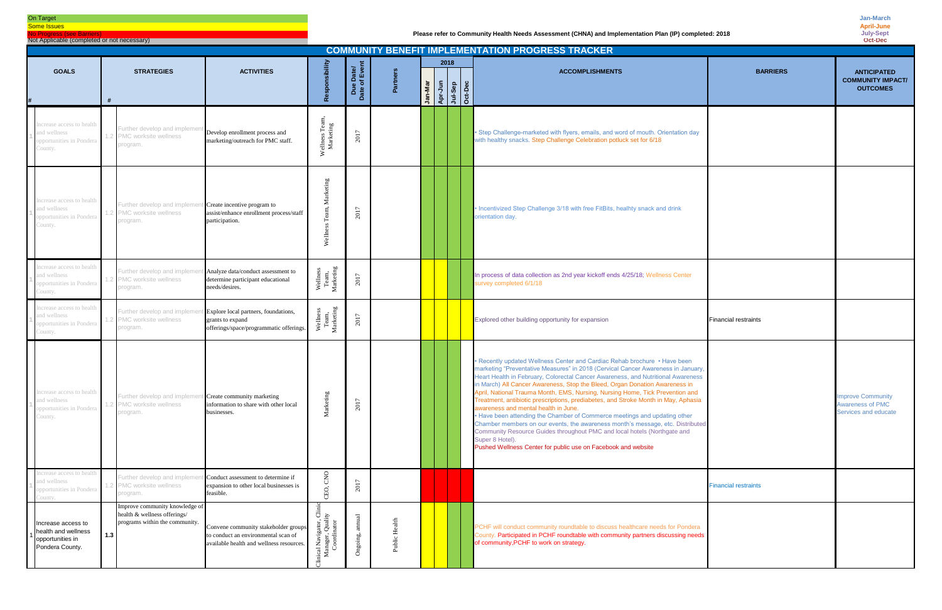### On Target

**Some Issues** No Progress (see Barriers)

Not Applicable (completed or not necessary)

| <b>COMMUNITY BENEFIT IMPLEMENTATION PROGRESS TRACKER</b>                         |                                                                                                           |                                                                                                                         |                                                                                   |                                       |               |         |                                       |  |  |                                                                                                                                                                                                                                                                                                                                                                                                                                                                                                                                                                                                                                                                                                                                                                                                                                                                                |                                                                      |  |
|----------------------------------------------------------------------------------|-----------------------------------------------------------------------------------------------------------|-------------------------------------------------------------------------------------------------------------------------|-----------------------------------------------------------------------------------|---------------------------------------|---------------|---------|---------------------------------------|--|--|--------------------------------------------------------------------------------------------------------------------------------------------------------------------------------------------------------------------------------------------------------------------------------------------------------------------------------------------------------------------------------------------------------------------------------------------------------------------------------------------------------------------------------------------------------------------------------------------------------------------------------------------------------------------------------------------------------------------------------------------------------------------------------------------------------------------------------------------------------------------------------|----------------------------------------------------------------------|--|
| <b>GOALS</b>                                                                     | <b>STRATEGIES</b>                                                                                         | <b>ACTIVITIES</b>                                                                                                       | ponsibility                                                                       | e Date/<br>of Event<br>Due<br>Date of | Partners      | Jan-Mar | 2018<br>Apr-Jun<br>Jul-Sep<br>Oct-Dec |  |  | <b>BARRIERS</b><br><b>ACCOMPLISHMENTS</b>                                                                                                                                                                                                                                                                                                                                                                                                                                                                                                                                                                                                                                                                                                                                                                                                                                      | <b>ANTICIPATED</b><br><b>COMMUNITY IMPACT/</b><br><b>OUTCOMES</b>    |  |
| ncrease access to health<br>and wellness<br>opportunities in Pondera<br>County.  | Further develop and implemer<br>PMC worksite wellness<br>program.                                         | Develop enrollment process and<br>marketing/outreach for PMC staff.                                                     | Wellness Tean<br>Marketing                                                        | 2017                                  |               |         |                                       |  |  | · Step Challenge-marketed with flyers, emails, and word of mouth. Orientation day<br>with healthy snacks. Step Challenge Celebration potluck set for 6/18                                                                                                                                                                                                                                                                                                                                                                                                                                                                                                                                                                                                                                                                                                                      |                                                                      |  |
| ncrease access to health<br>nd wellness<br>opportunities in Pondera<br>County.   | Further develop and implem<br>PMC worksite wellness<br>rogram.                                            | t Create incentive program to<br>assist/enhance enrollment process/staff<br>participation.                              | Marketing<br>Welln                                                                | 2017                                  |               |         |                                       |  |  | • Incentivized Step Challenge 3/18 with free FitBits, healhty snack and drink<br>orientation day.                                                                                                                                                                                                                                                                                                                                                                                                                                                                                                                                                                                                                                                                                                                                                                              |                                                                      |  |
| ncrease access to health<br>and wellness<br>opportunities in Pondera<br>County.  | Further develop and implen<br>PMC worksite wellness<br>rogram.                                            | Analyze data/conduct assessment to<br>determine participant educational<br>needs/desires.                               | Wellness<br>Team,<br>Marketing                                                    | 2017                                  |               |         |                                       |  |  | In process of data collection as 2nd year kickoff ends 4/25/18; Wellness Center<br>survey completed 6/1/18                                                                                                                                                                                                                                                                                                                                                                                                                                                                                                                                                                                                                                                                                                                                                                     |                                                                      |  |
| ncrease access to health<br>nd wellness<br>opportunities in Pondera<br>County.   | Further develop and implem<br>PMC worksite wellness<br>rogram.                                            | t Explore local partners, foundations,<br>grants to expand<br>offerings/space/programmatic offerings.                   | Wellness<br>Team,<br>Marketing                                                    | 2017                                  |               |         |                                       |  |  | Explored other building opportunity for expansion<br><b>Financial restraints</b>                                                                                                                                                                                                                                                                                                                                                                                                                                                                                                                                                                                                                                                                                                                                                                                               |                                                                      |  |
| ncrease access to health<br>and wellness<br>opportunities in Pondera<br>County.  | Further develop and implem<br>PMC worksite wellness<br>program.                                           | It Create community marketing<br>information to share with other local<br>businesses.                                   | arketing<br>Σ                                                                     | 2017                                  |               |         |                                       |  |  | • Recently updated Wellness Center and Cardiac Rehab brochure • Have been<br>marketing "Preventative Measures" in 2018 (Cervical Cancer Awareness in January,<br>Heart Health in February, Colorectal Cancer Awareness, and Nutritional Awareness<br>in March) All Cancer Awareness, Stop the Bleed, Organ Donation Awareness in<br>April, National Trauma Month, EMS, Nursing, Nursing Home, Tick Prevention and<br>Treatment, antibiotic prescriptions, prediabetes, and Stroke Month in May, Aphasia<br>awareness and mental health in June.<br>• Have been attending the Chamber of Commerce meetings and updating other<br>Chamber members on our events, the awareness month's message, etc. Distributed<br>Community Resource Guides throughout PMC and local hotels (Northgate and<br>Super 8 Hotel).<br>Pushed Wellness Center for public use on Facebook and website | <b>Improve Community</b><br>Awareness of PMC<br>Services and educate |  |
| ncrease access to health<br>nd wellness<br>opportunities in Pondera<br>County.   | Further develop and impleme<br>PMC worksite wellness<br>rogram.                                           | t Conduct assessment to determine if<br>expansion to other local businesses is<br>feasible.                             | $_{\rm CNO}$<br>CEO,                                                              | 2017                                  |               |         |                                       |  |  | <b>Financial restraints</b>                                                                                                                                                                                                                                                                                                                                                                                                                                                                                                                                                                                                                                                                                                                                                                                                                                                    |                                                                      |  |
| Increase access to<br>health and wellness<br>opportunities in<br>Pondera County. | Improve community knowledge of<br>health & wellness offerings/<br>programs within the community.<br>$1.3$ | Convene community stakeholder groups<br>to conduct an environmental scan of<br>available health and wellness resources. | ö<br>vigator, Cl:<br>er, Quality<br>rdinate<br>linical Navi<br>Manager,<br>Coordi | Ongoin                                | Public Health |         |                                       |  |  | PCHF will conduct community roundtable to discuss healthcare needs for Pondera<br>County. Participated in PCHF roundtable with community partners discussing needs<br>of community, PCHF to work on strategy.                                                                                                                                                                                                                                                                                                                                                                                                                                                                                                                                                                                                                                                                  |                                                                      |  |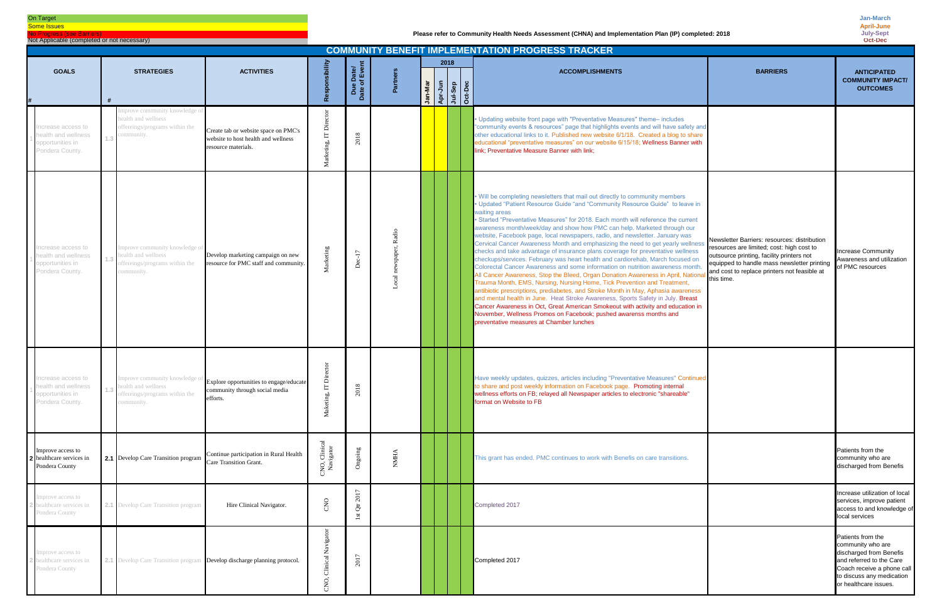On Target

**Some Issues** No Progress (see Barriers)

Not Applicable (completed or not necessary)

|                                                                                    | <b>COMMUNITY BENEFIT IMPLEMENTATION PROGRESS TRACKER</b>                                            |                                                                                                                     |                            |                                          |             |         |      |                               |  |                                                                                                                                                                                                                                                                                                                                                                                                                                                                                                                                                                                                                                                                                                                                                                                                                                                                                                                                                                                                                                                                                                                                                                                                                                                                                                                       |                                                                                                                                                                                                                                                     |                                                                                                                                                                                   |
|------------------------------------------------------------------------------------|-----------------------------------------------------------------------------------------------------|---------------------------------------------------------------------------------------------------------------------|----------------------------|------------------------------------------|-------------|---------|------|-------------------------------|--|-----------------------------------------------------------------------------------------------------------------------------------------------------------------------------------------------------------------------------------------------------------------------------------------------------------------------------------------------------------------------------------------------------------------------------------------------------------------------------------------------------------------------------------------------------------------------------------------------------------------------------------------------------------------------------------------------------------------------------------------------------------------------------------------------------------------------------------------------------------------------------------------------------------------------------------------------------------------------------------------------------------------------------------------------------------------------------------------------------------------------------------------------------------------------------------------------------------------------------------------------------------------------------------------------------------------------|-----------------------------------------------------------------------------------------------------------------------------------------------------------------------------------------------------------------------------------------------------|-----------------------------------------------------------------------------------------------------------------------------------------------------------------------------------|
| <b>GOALS</b>                                                                       |                                                                                                     |                                                                                                                     |                            |                                          |             |         | 2018 |                               |  |                                                                                                                                                                                                                                                                                                                                                                                                                                                                                                                                                                                                                                                                                                                                                                                                                                                                                                                                                                                                                                                                                                                                                                                                                                                                                                                       |                                                                                                                                                                                                                                                     |                                                                                                                                                                                   |
|                                                                                    | <b>STRATEGIES</b>                                                                                   | <b>ACTIVITIES</b>                                                                                                   | sibility                   | Due Date/<br>Date of Event               | Partners    | Jan-Mar |      | Apr-Jun<br>Api-Sep<br>Oct-Dec |  | <b>ACCOMPLISHMENTS</b>                                                                                                                                                                                                                                                                                                                                                                                                                                                                                                                                                                                                                                                                                                                                                                                                                                                                                                                                                                                                                                                                                                                                                                                                                                                                                                | <b>BARRIERS</b>                                                                                                                                                                                                                                     | <b>ANTICIPATED</b><br><b>COMMUNITY IMPACT/</b><br><b>OUTCOMES</b>                                                                                                                 |
| ncrease access to<br>ealth and wellness<br>opportunities in<br>Pondera County.     | nprove community knowledge o<br>health and wellness<br>offereings/programs within the<br>community  | Create tab or website space on PMC's<br>website to host health and wellness<br>resource materials.                  | IT Director<br>rketing,    | 2018                                     |             |         |      |                               |  | . Updating website front page with "Preventative Measures" theme- includes<br>"community events & resources" page that highlights events and will have safety and<br>other educational links to it. Published new website 6/1/18. Created a blog to share<br>educational "preventative measures" on our website 6/15/18; Wellness Banner with<br>link; Preventative Measure Banner with link;                                                                                                                                                                                                                                                                                                                                                                                                                                                                                                                                                                                                                                                                                                                                                                                                                                                                                                                         |                                                                                                                                                                                                                                                     |                                                                                                                                                                                   |
| ncrease access to<br>ealth and wellness<br>opportunities in<br>Pondera County.     | mprove community knowledge of<br>health and wellness<br>offereings/programs within the<br>ommunity. | Develop marketing campaign on new<br>resource for PMC staff and community.                                          | Marketing                  |                                          |             |         |      |                               |  | . Will be completing newsletters that mail out directly to community members<br>• Updated "Patient Resource Guide "and "Community Resource Guide" to leave in<br>waiting areas<br>• Started "Preventative Measures" for 2018. Each month will reference the current<br>awareness month/week/day and show how PMC can help. Marketed through our<br>website, Facebook page, local newspapers, radio, and newsletter. January was<br>Cervical Cancer Awareness Month and emphasizing the need to get yearly wellness<br>checks and take advantage of insurance plans coverage for preventative wellness<br>checkups/services. February was heart health and cardiorehab, March focused on<br>Colorectal Cancer Awareness and some information on nutrition awareness month.<br>All Cancer Awareness, Stop the Bleed, Organ Donation Awareness in April, Nationa<br>Trauma Month, EMS, Nursing, Nursing Home, Tick Prevention and Treatment,<br>antibiotic prescriptions, prediabetes, and Stroke Month in May, Aphasia awareness<br>and mental health in June. Heat Stroke Awareness, Sports Safety in July. Breast<br>Cancer Awareness in Oct, Great American Smokeout with activity and education in<br>November, Wellness Promos on Facebook; pushed awarenss months and<br>preventative measures at Chamber lunches | Newsletter Barriers: resources: distribution<br>resources are limited; cost: high cost to<br>outsource printing, facility printers not<br>equipped to handle mass newsletter printing<br>and cost to replace printers not feasible at<br>this time. | <b>Increase Community</b><br>Awareness and utilization<br>of PMC resources                                                                                                        |
| Increase access to<br>1 health and wellness<br>opportunities in<br>Pondera County. | health and wellness<br>offereings/programs within the<br>ommunitv.                                  | mprove community knowledge of Explore opportunities to engage/educate<br>community through social media<br>efforts. | $T$ Dir<br>Maketing,       | 18<br>$\approx$                          |             |         |      |                               |  | Have weekly updates, quizzes, articles including "Preventative Measures" Continued<br>to share and post weekly information on Facebook page. Promoting internal<br>wellness efforts on FB; relayed all Newspaper articles to electronic "shareable"<br>format on Website to FB                                                                                                                                                                                                                                                                                                                                                                                                                                                                                                                                                                                                                                                                                                                                                                                                                                                                                                                                                                                                                                        |                                                                                                                                                                                                                                                     |                                                                                                                                                                                   |
| Improve access to<br>2 healthcare services in<br>Pondera County                    | <b>2.1</b> Develop Care Transition program                                                          | Continue participation in Rural Health<br>Care Transition Grant.                                                    | CNO, Clinical<br>Navigator | Ongoing                                  | <b>NMHA</b> |         |      |                               |  | This grant has ended. PMC continues to work with Benefis on care transitions.                                                                                                                                                                                                                                                                                                                                                                                                                                                                                                                                                                                                                                                                                                                                                                                                                                                                                                                                                                                                                                                                                                                                                                                                                                         |                                                                                                                                                                                                                                                     | Patients from the<br>community who are<br>discharged from Benefis                                                                                                                 |
| mprove access to<br>nealthcare services in<br>Pondera County                       | <b>2.1</b> Develop Care Transition program                                                          | Hire Clinical Navigator.                                                                                            | CNO                        | 2017<br>$\overline{c}$<br>$1\mathrm{st}$ |             |         |      |                               |  | Completed 2017                                                                                                                                                                                                                                                                                                                                                                                                                                                                                                                                                                                                                                                                                                                                                                                                                                                                                                                                                                                                                                                                                                                                                                                                                                                                                                        |                                                                                                                                                                                                                                                     | Increase utilization of local<br>services, improve patient<br>access to and knowledge of<br>local services                                                                        |
| mprove access to<br>ealthcare services in<br>Pondera County                        | 2.1 Develop Care Transition program Develop discharge planning protocol.                            |                                                                                                                     | Clinical Navigator<br>CNO, | 2017                                     |             |         |      |                               |  | Completed 2017                                                                                                                                                                                                                                                                                                                                                                                                                                                                                                                                                                                                                                                                                                                                                                                                                                                                                                                                                                                                                                                                                                                                                                                                                                                                                                        |                                                                                                                                                                                                                                                     | Patients from the<br>community who are<br>discharged from Benefis<br>and referred to the Care<br>Coach receive a phone call<br>to discuss any medication<br>or healthcare issues. |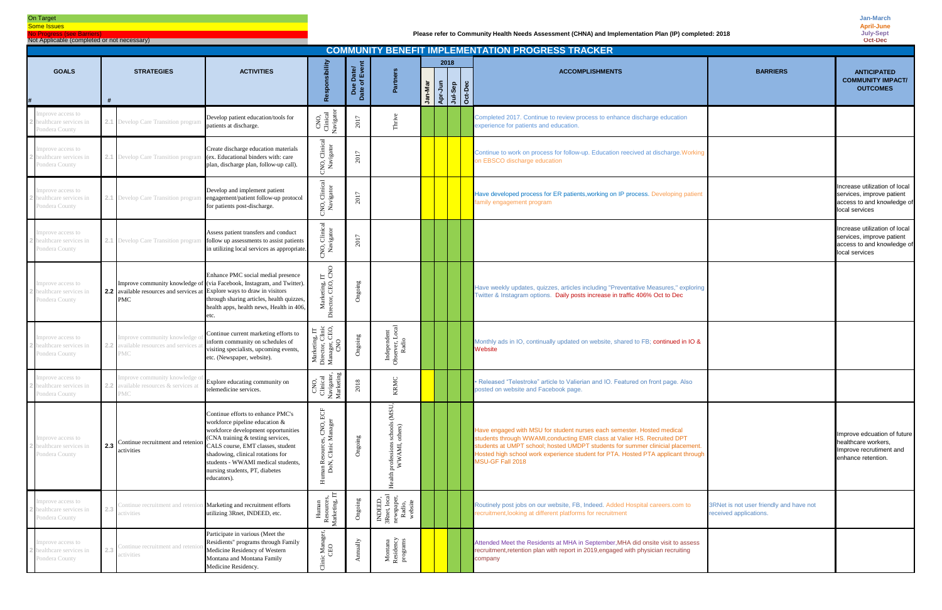# On Target

**Some Issues No Progress (see Barrier** 

Not Applicable (completed or not necessary)

| <b>COMMUNITY BENEFIT IMPLEMENTATION PROGRESS TRACKER</b>      |                  |                                                                                 |                                                                                                                                                                                                                                                                                                                  |                                                                       |                                                                     |                                                                                    |                                                    |      |  |                                                                                                                                                                                                                                                                                                                                              |                                                                   |                                                                                                            |
|---------------------------------------------------------------|------------------|---------------------------------------------------------------------------------|------------------------------------------------------------------------------------------------------------------------------------------------------------------------------------------------------------------------------------------------------------------------------------------------------------------|-----------------------------------------------------------------------|---------------------------------------------------------------------|------------------------------------------------------------------------------------|----------------------------------------------------|------|--|----------------------------------------------------------------------------------------------------------------------------------------------------------------------------------------------------------------------------------------------------------------------------------------------------------------------------------------------|-------------------------------------------------------------------|------------------------------------------------------------------------------------------------------------|
| <b>GOALS</b>                                                  |                  | <b>STRATEGIES</b>                                                               | <b>ACTIVITIES</b>                                                                                                                                                                                                                                                                                                | ponsibil                                                              | Due Date/<br>Date of Event                                          | Partners                                                                           | <b>An-Mar</b><br>Apr-Jun<br>Apr-Jul-Sep<br>Oct-Dec | 2018 |  | <b>ACCOMPLISHMENTS</b>                                                                                                                                                                                                                                                                                                                       | <b>BARRIERS</b>                                                   | <b>ANTICIPATED</b><br><b>COMMUNITY IMPACT/</b><br><b>OUTCOMES</b>                                          |
|                                                               |                  |                                                                                 |                                                                                                                                                                                                                                                                                                                  |                                                                       |                                                                     |                                                                                    |                                                    |      |  |                                                                                                                                                                                                                                                                                                                                              |                                                                   |                                                                                                            |
| mprove access to<br>healthcare services in<br>Pondera County  |                  | 2.1 Develop Care Transition program                                             | Develop patient education/tools for<br>patients at discharge.                                                                                                                                                                                                                                                    | CNO,<br>Clinical<br>Navigaton                                         | 2017                                                                | Thrive                                                                             |                                                    |      |  | Completed 2017. Continue to review process to enhance discharge education<br>experience for patients and education.                                                                                                                                                                                                                          |                                                                   |                                                                                                            |
| Improve access to<br>healthcare services in<br>Pondera County |                  |                                                                                 | Create discharge education materials<br>2.1 Develop Care Transition program (ex. Educational binders with: care<br>plan, discharge plan, follow-up call).                                                                                                                                                        | $\mathbb{R}$<br>CNO, Clinica<br>Navigator                             | 2017                                                                |                                                                                    |                                                    |      |  | Continue to work on process for follow-up. Education reecived at discharge. Working<br>on EBSCO discharge education                                                                                                                                                                                                                          |                                                                   |                                                                                                            |
| Improve access to<br>healthcare services in<br>Pondera County |                  |                                                                                 | Develop and implement patient<br>2.1 Develop Care Transition program engagement/patient follow-up protocol<br>for patients post-discharge.                                                                                                                                                                       | CNO, Clinical<br>Navigator                                            | 2017                                                                |                                                                                    |                                                    |      |  | Have developed process for ER patients, working on IP process. Developing patient<br>family engagement program                                                                                                                                                                                                                               |                                                                   | Increase utilization of local<br>services, improve patient<br>access to and knowledge of<br>local services |
| mprove access to<br>healthcare services in<br>Pondera County  |                  |                                                                                 | Assess patient transfers and conduct<br>2.1 Develop Care Transition program follow up assessments to assist patients<br>in utilizing local services as appropriate.                                                                                                                                              | CNO, Clinical<br>Navigator                                            | 2017                                                                |                                                                                    |                                                    |      |  |                                                                                                                                                                                                                                                                                                                                              |                                                                   | Increase utilization of local<br>services, improve patient<br>access to and knowledge of<br>local services |
| mprove access to<br>healthcare services in<br>Pondera County  |                  | 2.2 available resources and services at Explore ways to draw in visitors<br>PMC | Enhance PMC social medial presence<br>Improve community knowledge of (via Facebook, Instagram, and Twitter).<br>through sharing articles, health quizzes,<br>health apps, health news, Health in 406,<br>etc.                                                                                                    | $\overline{F}$<br>Marketing, I<br>rector, CEO,<br>έ                   | Ongoing                                                             |                                                                                    |                                                    |      |  | Have weekly updates, quizzes, articles including "Preventative Measures," exploring<br>Twitter & Instagram options. Daily posts increase in traffic 406% Oct to Dec                                                                                                                                                                          |                                                                   |                                                                                                            |
| Improve access to<br>healthcare services in<br>Pondera County |                  | nprove community knowledge o<br>available resources and services a<br>MC        | Continue current marketing efforts to<br>inform community on schedules of<br>visiting specialists, upcoming events,<br>etc. (Newspaper, website).                                                                                                                                                                | Marketing, IT<br>Director, Clinic<br>Manager, CEO,<br>CNO             | Ongoing                                                             | Independent<br>Observer, Local<br>Radio                                            |                                                    |      |  | Monthly ads in IO, continually updated on website, shared to FB; continued in IO &<br>Website                                                                                                                                                                                                                                                |                                                                   |                                                                                                            |
| Improve access to<br>healthcare services in<br>ondera County  | 2.2 <sub>1</sub> | nprove community knowledge<br>available resources & services at<br>MС           | Explore educating community on<br>telemedicine services.                                                                                                                                                                                                                                                         | CNO,<br>Clinical<br>Navigator,<br>Marketing                           | 2018                                                                | KRMC                                                                               |                                                    |      |  | · Released "Telestroke" article to Valierian and IO. Featured on front page. Also<br>posted on website and Facebook page.                                                                                                                                                                                                                    |                                                                   |                                                                                                            |
| Improve access to<br>healthcare services in<br>Pondera County | 2.3              | Continue recruitment and retenion<br>activities                                 | Continue efforts to enhance PMC's<br>workforce pipeline education &<br>workforce development opportunities<br>(CNA training & testing services,<br>CALS course, EMT classes, student<br>shadowing, clinical rotations for<br>students - WWAMI medical students,<br>nursing students, PT, diabetes<br>educators). | $_{\rm ECF}$<br>nan Resources, CNO,<br>DoN, Clinic Manage<br>$\equiv$ | Ongoing                                                             | MSU,<br>schools<br>others)<br>professions<br>WWAMI, o<br>Health                    |                                                    |      |  | Have engaged with MSU for student nurses each semester. Hosted medical<br>students through WWAMI, conducting EMR class at Valier HS. Recruited DPT<br>students at UMPT school; hosted UMDPT students for summer clinicial placement.<br>Hosted high school work experience student for PTA. Hosted PTA applicant through<br>MSU-GF Fall 2018 |                                                                   | Improve edcuation of future<br>healthcare workers,<br>Improve recrutiment and<br>enhance retention.        |
| mprove access to<br>ealthcare services in<br>Pondera County   |                  | ictivities                                                                      | Continue recruitment and retenion Marketing and recruitment efforts<br>utilizing 3Rnet, INDEED, etc.                                                                                                                                                                                                             | Resources<br>Marketing,<br>$_{\rm{Hur}}$                              | Ongoing                                                             | INDEED,<br>3Rnet, local<br>newspaper,<br>Radio,<br>Radio,<br>website               |                                                    |      |  | Routinely post jobs on our website, FB, Indeed. Added Hospital careers.com to<br>recruitment, looking at different platforms for recruitment                                                                                                                                                                                                 | 3RNet is not user friendly and have not<br>received applications. |                                                                                                            |
| mprove access to<br>healthcare services in<br>Pondera County  |                  | 'ontinue recruitment and reten<br>ictivities                                    | Participate in various (Meet the<br>Residients" programs through Family<br>Medicine Residency of Western<br>Montana and Montana Family<br>Medicine Residency.                                                                                                                                                    | $c$ Mana<br>CEO                                                       | $\label{eq:annually} \begin{array}{ll} \text{Annually} \end{array}$ | $\begin{array}{c} \text{Montana}\\ \text{Residency}\\ \text{programs} \end{array}$ |                                                    |      |  | Attended Meet the Residents at MHA in September, MHA did onsite visit to assess<br>recruitment, retention plan with report in 2019, engaged with physician recruiting<br>company                                                                                                                                                             |                                                                   |                                                                                                            |